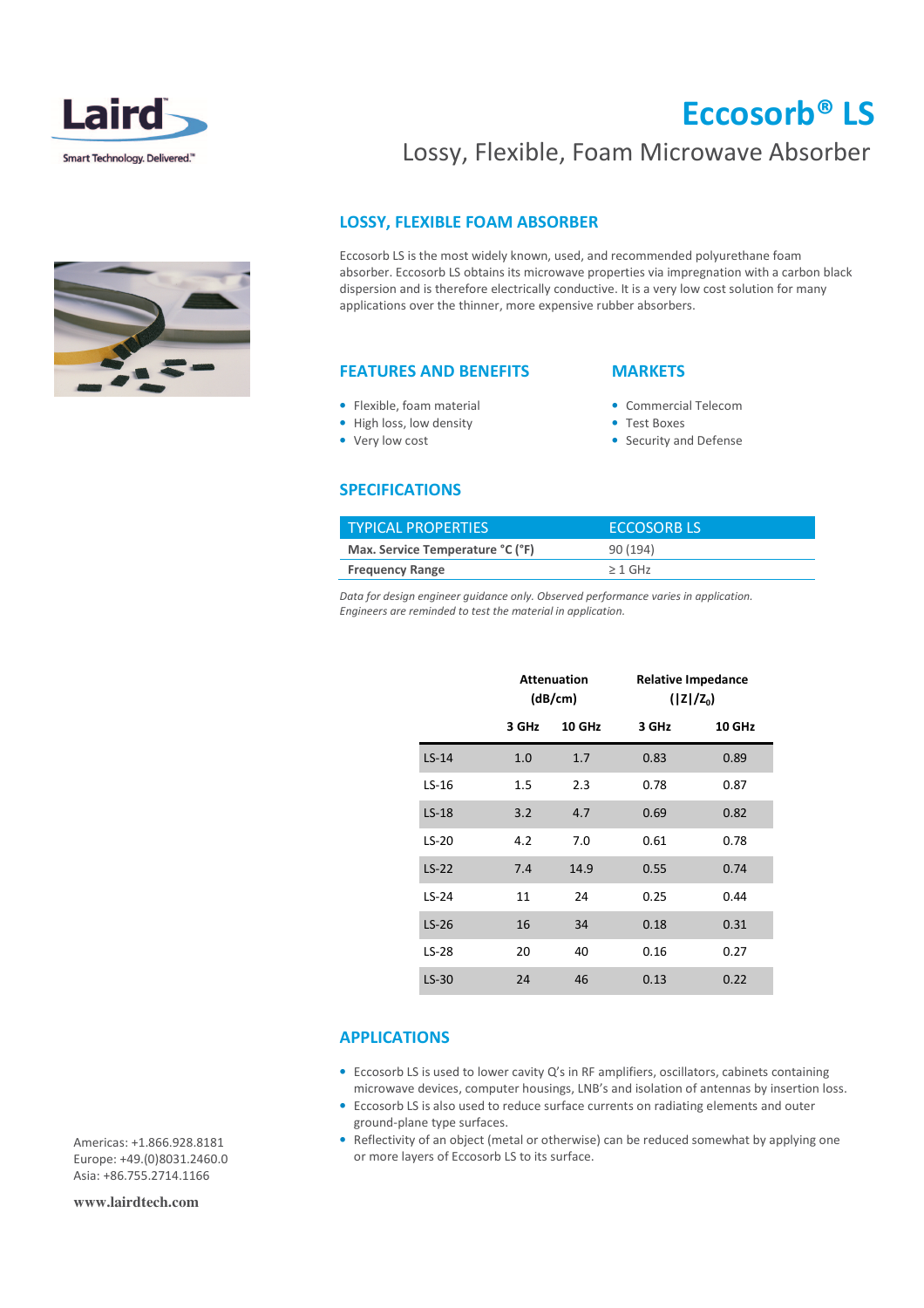

# Eccosorb® LS

## Lossy, Flexible, Foam Microwave Absorber

### LOSSY, FLEXIBLE FOAM ABSORBER

Eccosorb LS is the most widely known, used, and recommended polyurethane foam absorber. Eccosorb LS obtains its microwave properties via impregnation with a carbon black dispersion and is therefore electrically conductive. It is a very low cost solution for many applications over the thinner, more expensive rubber absorbers.

#### FEATURES AND BENEFITS

### **MARKETS**

- Commercial Telecom
- Test Boxes
- Security and Defense

#### SPECIFICATIONS

• Flexible, foam material • High loss, low density • Very low cost

| <b>TYPICAL PROPERTIES</b>        | <b>ECCOSORB LS'</b> |
|----------------------------------|---------------------|
| Max. Service Temperature °C (°F) | 90(194)             |
| <b>Frequency Range</b>           | $>1$ GHz            |

Data for design engineer guidance only. Observed performance varies in application. Engineers are reminded to test the material in application.

|         | <b>Attenuation</b><br>(dB/cm) |               | <b>Relative Impedance</b><br>$( Z /Z_0)$ |               |
|---------|-------------------------------|---------------|------------------------------------------|---------------|
|         | 3 GHz                         | <b>10 GHz</b> | 3 GHz                                    | <b>10 GHz</b> |
| $LS-14$ | 1.0                           | 1.7           | 0.83                                     | 0.89          |
| $LS-16$ | 1.5                           | 2.3           | 0.78                                     | 0.87          |
| $LS-18$ | 3.2                           | 4.7           | 0.69                                     | 0.82          |
| $LS-20$ | 4.2                           | 7.0           | 0.61                                     | 0.78          |
| $LS-22$ | 7.4                           | 14.9          | 0.55                                     | 0.74          |
| $LS-24$ | 11                            | 24            | 0.25                                     | 0.44          |
| $LS-26$ | 16                            | 34            | 0.18                                     | 0.31          |
| $LS-28$ | 20                            | 40            | 0.16                                     | 0.27          |
| $LS-30$ | 24                            | 46            | 0.13                                     | 0.22          |

#### APPLICATIONS

- Eccosorb LS is used to lower cavity Q's in RF amplifiers, oscillators, cabinets containing microwave devices, computer housings, LNB's and isolation of antennas by insertion loss.
- Eccosorb LS is also used to reduce surface currents on radiating elements and outer ground-plane type surfaces.
- Reflectivity of an object (metal or otherwise) can be reduced somewhat by applying one or more layers of Eccosorb LS to its surface.

Americas: +1.866.928.8181 Europe: +49.(0)8031.2460.0 Asia: +86.755.2714.1166

**www.lairdtech.com**